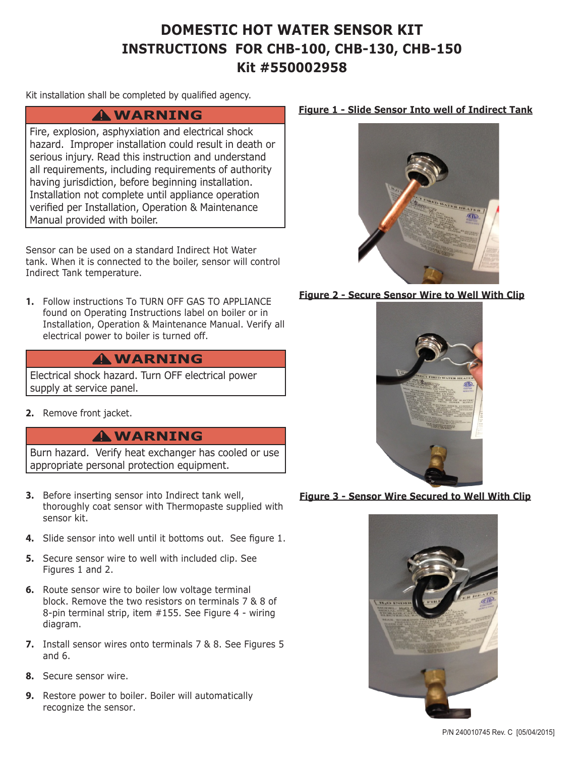## **DOMESTIC HOT WATER SENSOR KIT INSTRUCTIONS FOR CHB-100, CHB-130, CHB-150 Kit #550002958**

Kit installation shall be completed by qualified agency.

### **WARNING !**

Fire, explosion, asphyxiation and electrical shock hazard. Improper installation could result in death or serious injury. Read this instruction and understand all requirements, including requirements of authority having jurisdiction, before beginning installation. Installation not complete until appliance operation verified per Installation, Operation & Maintenance Manual provided with boiler.

Sensor can be used on a standard Indirect Hot Water tank. When it is connected to the boiler, sensor will control Indirect Tank temperature.

**1.** Follow instructions To TURN OFF GAS TO APPLIANCE found on Operating Instructions label on boiler or in Installation, Operation & Maintenance Manual. Verify all electrical power to boiler is turned off.

### **WARNING !**

Electrical shock hazard. Turn OFF electrical power supply at service panel.

**2.** Remove front jacket.

### **WARNING !**

Burn hazard. Verify heat exchanger has cooled or use appropriate personal protection equipment.

- **3.** Before inserting sensor into Indirect tank well, thoroughly coat sensor with Thermopaste supplied with sensor kit.
- **4.** Slide sensor into well until it bottoms out. See figure 1.
- **5.** Secure sensor wire to well with included clip. See Figures 1 and 2.
- **6.** Route sensor wire to boiler low voltage terminal block. Remove the two resistors on terminals 7 & 8 of 8-pin terminal strip, item #155. See Figure 4 - wiring diagram.
- **7.** Install sensor wires onto terminals 7 & 8. See Figures 5 and 6.
- **8.** Secure sensor wire.
- **9.** Restore power to boiler. Boiler will automatically recognize the sensor.

#### **Figure 1 - Slide Sensor Into well of Indirect Tank**



#### **Figure 2 - Secure Sensor Wire to Well With Clip**



#### **Figure 3 - Sensor Wire Secured to Well With Clip**



P/N 240010745 Rev. C [05/04/2015]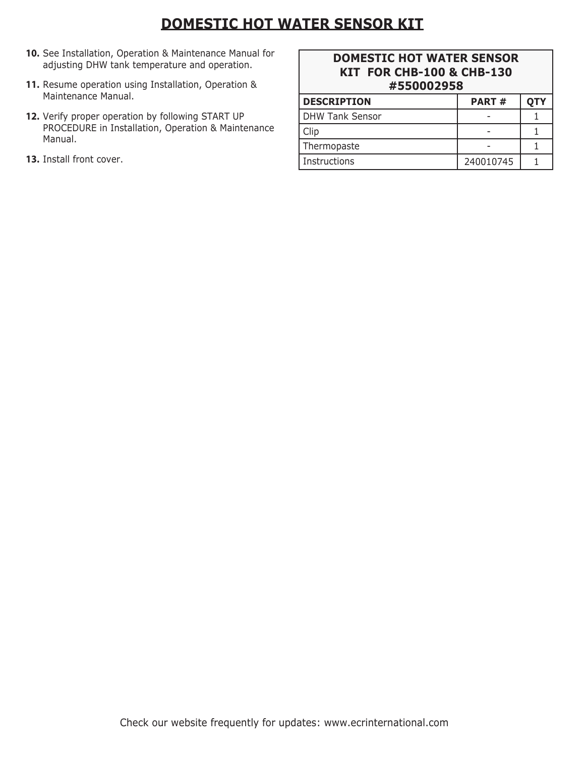# **DOMESTIC HOT WATER SENSOR KIT**

- **10.** See Installation, Operation & Maintenance Manual for adjusting DHW tank temperature and operation.
- **11.** Resume operation using Installation, Operation & Maintenance Manual.
- **12.** Verify proper operation by following START UP PROCEDURE in Installation, Operation & Maintenance Manual.
- **13.** Install front cover.

### **DOMESTIC HOT WATER SENSOR KIT FOR CHB-100 & CHB-130 #550002958**

| <b>DESCRIPTION</b>     | <b>PART#</b> | ОТҮ |
|------------------------|--------------|-----|
| <b>DHW Tank Sensor</b> |              |     |
| Clip                   |              |     |
| Thermopaste            |              |     |
| Instructions           | 240010745    |     |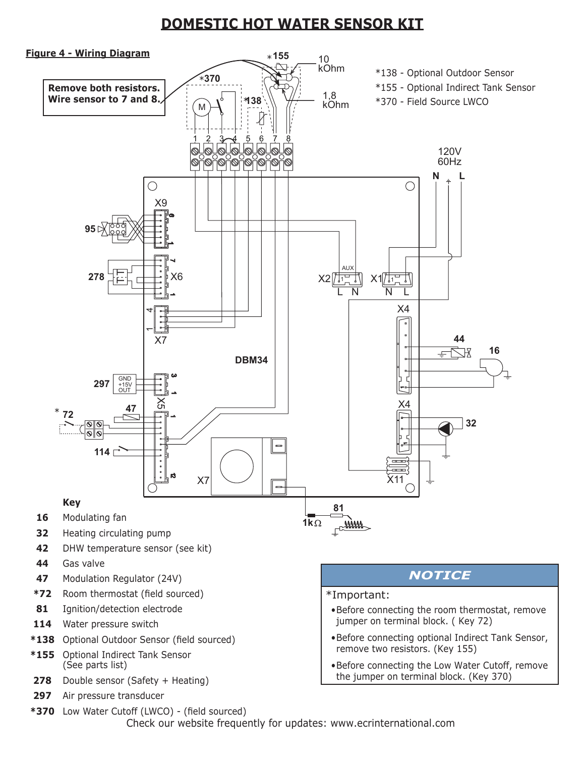## **DOMESTIC HOT WATER SENSOR KIT**